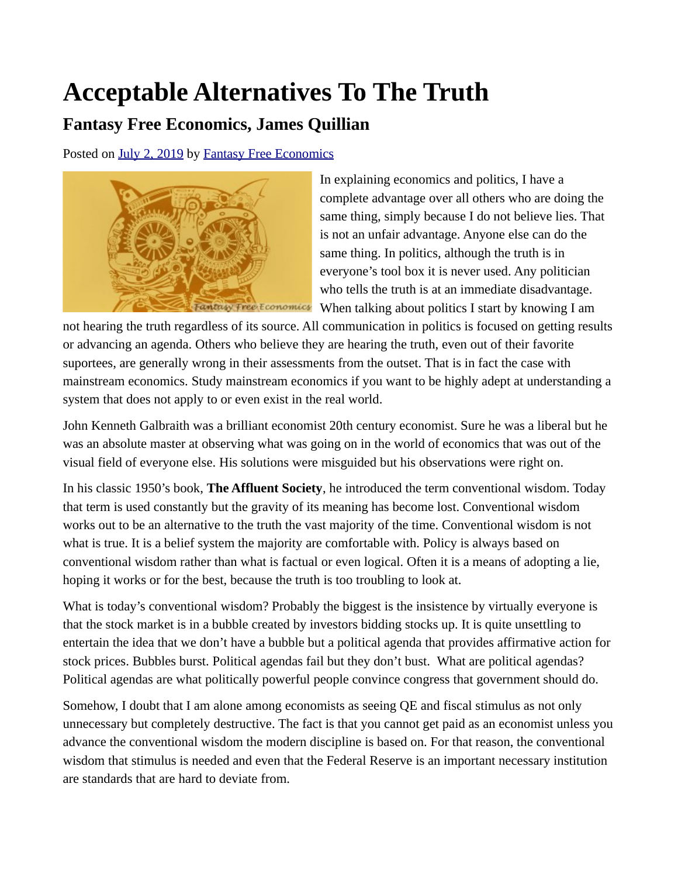## **Acceptable Alternatives To The Truth**

## **Fantasy Free Economics, James Quillian**

Posted on [July 2, 2019](http://quillian.net/blog/?p=6489) by [Fantasy Free Economics](http://quillian.net/blog/author/james-quillian/)



In explaining economics and politics, I have a complete advantage over all others who are doing the same thing, simply because I do not believe lies. That is not an unfair advantage. Anyone else can do the same thing. In politics, although the truth is in everyone's tool box it is never used. Any politician who tells the truth is at an immediate disadvantage. antaly Free Economics<sup></sup> When talking about politics I start by knowing I am

not hearing the truth regardless of its source. All communication in politics is focused on getting results or advancing an agenda. Others who believe they are hearing the truth, even out of their favorite suportees, are generally wrong in their assessments from the outset. That is in fact the case with mainstream economics. Study mainstream economics if you want to be highly adept at understanding a system that does not apply to or even exist in the real world.

John Kenneth Galbraith was a brilliant economist 20th century economist. Sure he was a liberal but he was an absolute master at observing what was going on in the world of economics that was out of the visual field of everyone else. His solutions were misguided but his observations were right on.

In his classic 1950's book, **The Affluent Society**, he introduced the term conventional wisdom. Today that term is used constantly but the gravity of its meaning has become lost. Conventional wisdom works out to be an alternative to the truth the vast majority of the time. Conventional wisdom is not what is true. It is a belief system the majority are comfortable with. Policy is always based on conventional wisdom rather than what is factual or even logical. Often it is a means of adopting a lie, hoping it works or for the best, because the truth is too troubling to look at.

What is today's conventional wisdom? Probably the biggest is the insistence by virtually everyone is that the stock market is in a bubble created by investors bidding stocks up. It is quite unsettling to entertain the idea that we don't have a bubble but a political agenda that provides affirmative action for stock prices. Bubbles burst. Political agendas fail but they don't bust. What are political agendas? Political agendas are what politically powerful people convince congress that government should do.

Somehow, I doubt that I am alone among economists as seeing QE and fiscal stimulus as not only unnecessary but completely destructive. The fact is that you cannot get paid as an economist unless you advance the conventional wisdom the modern discipline is based on. For that reason, the conventional wisdom that stimulus is needed and even that the Federal Reserve is an important necessary institution are standards that are hard to deviate from.